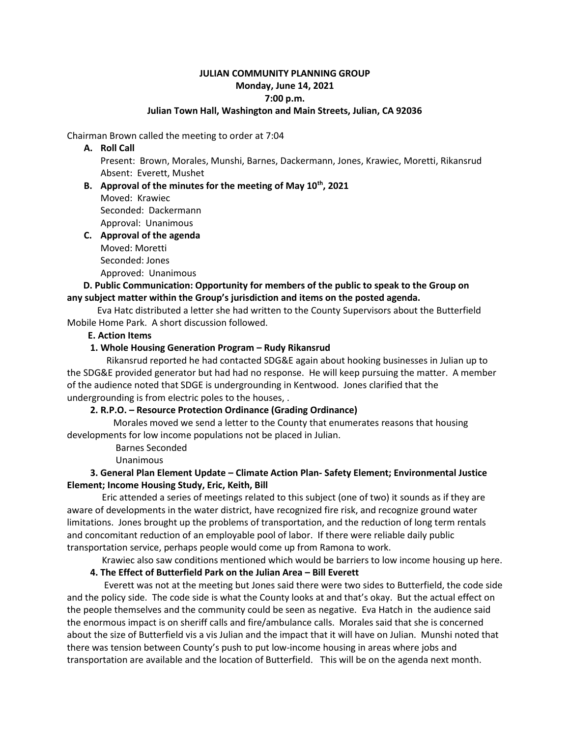# **JULIAN COMMUNITY PLANNING GROUP Monday, June 14, 2021 7:00 p.m.**

#### **Julian Town Hall, Washington and Main Streets, Julian, CA 92036**

Chairman Brown called the meeting to order at 7:04

#### **A. Roll Call**

Present: Brown, Morales, Munshi, Barnes, Dackermann, Jones, Krawiec, Moretti, Rikansrud Absent: Everett, Mushet

# **B. Approval of the minutes for the meeting of May 10th, 2021** Moved: Krawiec Seconded: Dackermann Approval: Unanimous

# **C. Approval of the agenda** Moved: Moretti Seconded: Jones

Approved: Unanimous

# **D. Public Communication: Opportunity for members of the public to speak to the Group on any subject matter within the Group's jurisdiction and items on the posted agenda.**

Eva Hatc distributed a letter she had written to the County Supervisors about the Butterfield Mobile Home Park. A short discussion followed.

# **E. Action Items**

# **1. Whole Housing Generation Program – Rudy Rikansrud**

Rikansrud reported he had contacted SDG&E again about hooking businesses in Julian up to the SDG&E provided generator but had had no response. He will keep pursuing the matter. A member of the audience noted that SDGE is undergrounding in Kentwood. Jones clarified that the undergrounding is from electric poles to the houses, .

#### **2. R.P.O. – Resource Protection Ordinance (Grading Ordinance)**

Morales moved we send a letter to the County that enumerates reasons that housing developments for low income populations not be placed in Julian.

Barnes Seconded

Unanimous

# **3. General Plan Element Update – Climate Action Plan- Safety Element; Environmental Justice Element; Income Housing Study, Eric, Keith, Bill**

Eric attended a series of meetings related to this subject (one of two) it sounds as if they are aware of developments in the water district, have recognized fire risk, and recognize ground water limitations. Jones brought up the problems of transportation, and the reduction of long term rentals and concomitant reduction of an employable pool of labor. If there were reliable daily public transportation service, perhaps people would come up from Ramona to work.

Krawiec also saw conditions mentioned which would be barriers to low income housing up here.

# **4. The Effect of Butterfield Park on the Julian Area – Bill Everett**

Everett was not at the meeting but Jones said there were two sides to Butterfield, the code side and the policy side. The code side is what the County looks at and that's okay. But the actual effect on the people themselves and the community could be seen as negative. Eva Hatch in the audience said the enormous impact is on sheriff calls and fire/ambulance calls. Morales said that she is concerned about the size of Butterfield vis a vis Julian and the impact that it will have on Julian. Munshi noted that there was tension between County's push to put low-income housing in areas where jobs and transportation are available and the location of Butterfield. This will be on the agenda next month.